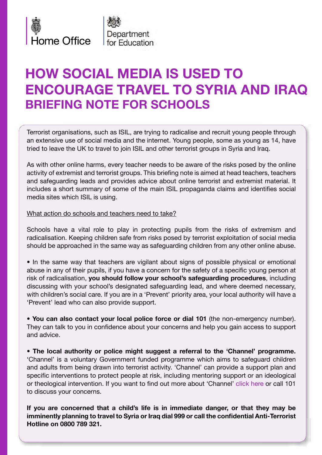

## **HOW SOCIAL MEDIA IS USED TO ENCOURAGE TRAVEL TO SYRIA AND IRAQ BRIEFING NOTE FOR SCHOOLS**

Terrorist organisations, such as ISIL, are trying to radicalise and recruit young people through an extensive use of social media and the internet. Young people, some as young as 14, have tried to leave the UK to travel to join ISIL and other terrorist groups in Syria and Iraq.

As with other online harms, every teacher needs to be aware of the risks posed by the online activity of extremist and terrorist groups. This briefing note is aimed at head teachers, teachers and safeguarding leads and provides advice about online terrorist and extremist material. It includes a short summary of some of the main ISIL propaganda claims and identifies social media sites which ISIL is using.

What action do schools and teachers need to take?

Schools have a vital role to play in protecting pupils from the risks of extremism and radicalisation. Keeping children safe from risks posed by terrorist exploitation of social media should be approached in the same way as safeguarding children from any other online abuse.

• In the same way that teachers are vigilant about signs of possible physical or emotional abuse in any of their pupils, if you have a concern for the safety of a specific young person at risk of radicalisation, **you should follow your school's safeguarding procedures**, including discussing with your school's designated safeguarding lead, and where deemed necessary, with children's social care. If you are in a 'Prevent' priority area, your local authority will have a 'Prevent' lead who can also provide support.

• **You can also contact your local police force or dial 101** (the non-emergency number). They can talk to you in confidence about your concerns and help you gain access to support and advice.

• **The local authority or police might suggest a referral to the 'Channel' programme.** 'Channel' is a voluntary Government funded programme which aims to safeguard children and adults from being drawn into terrorist activity. 'Channel' can provide a support plan and specific interventions to protect people at risk, including mentoring support or an ideological or theological intervention. If you want to find out more about 'Channel' [click here o](https://www.gov.uk/government/publications/channel-guidance)r call 101 to discuss your concerns.

**If you are concerned that a child's life is in immediate danger, or that they may be imminently planning to travel to Syria or Iraq dial 999 or call the confidential Anti-Terrorist Hotline on 0800 789 321.**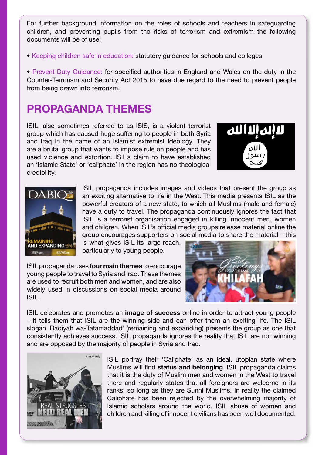For further background information on the roles of schools and teachers in safeguarding children, and preventing pupils from the risks of terrorism and extremism the following documents will be of use:

• [Keeping children safe in education](https://www.gov.uk/government/uploads/system/uploads/attachment_data/file/418686/Keeping_children_safe_in_education.pdf)[: statutory guidance for schools and colleges](http://https://www.gov.uk/government/uploads/system/uploads/attachment_data/file/417715/Archived-Keeping_children_safe_in_education.pdf)

• [Prevent Duty Guidance:](https://www.gov.uk/government/uploads/system/uploads/attachment_data/file/417943/Prevent_Duty_Guidance_England_Wales.pdf) for specified authorities in England and Wales on the duty in the Counter-Terrorism and Security Act 2015 to have due regard to the need to prevent people from being drawn into terrorism.

### **PROPAGANDA THEMES**

ISIL, also sometimes referred to as ISIS, is a violent terrorist group which has caused huge suffering to people in both Syria and Iraq in the name of an Islamist extremist ideology. They are a brutal group that wants to impose rule on people and has used violence and extortion. ISIL's claim to have established an 'Islamic State' or 'caliphate' in the region has no theological credibility.





ISIL propaganda includes images and videos that present the group as an exciting alternative to life in the West. This media presents ISIL as the powerful creators of a new state, to which all Muslims (male and female) have a duty to travel. The propaganda continuously ignores the fact that ISIL is a terrorist organisation engaged in killing innocent men, women and children. When ISIL's official media groups release material online the group encourages supporters on social media to share the material – this

is what gives ISIL its large reach, particularly to young people.

ISIL propaganda uses **four main themes** to encourage young people to travel to Syria and Iraq. These themes are used to recruit both men and women, and are also widely used in discussions on social media around ISIL.



ISIL celebrates and promotes an **image of success** online in order to attract young people – it tells them that ISIL are the winning side and can offer them an exciting life. The ISIL slogan 'Baqiyah wa-Tatamaddad' (remaining and expanding) presents the group as one that consistently achieves success. ISIL propaganda ignores the reality that ISIL are not winning and are opposed by the majority of people in Syria and Iraq.



ISIL portray their 'Caliphate' as an ideal, utopian state where Muslims will find **status and belonging**. ISIL propaganda claims that it is the duty of Muslim men and women in the West to travel there and regularly states that all foreigners are welcome in its ranks, so long as they are Sunni Muslims. In reality the claimed Caliphate has been rejected by the overwhelming majority of Islamic scholars around the world. ISIL abuse of women and children and killing of innocent civilians has been well documented.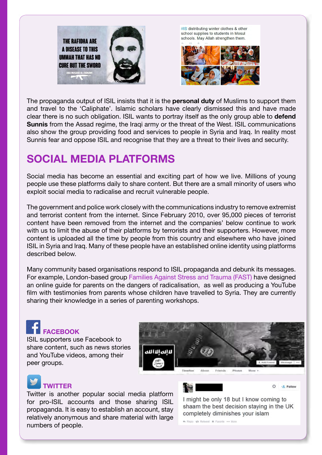

#IS distributing winter clothes & other school supplies to students in Mosul schools. May Allah strengthen them.



The propaganda output of ISIL insists that it is the **personal duty** of Muslims to support them and travel to the 'Caliphate'. Islamic scholars have clearly dismissed this and have made clear there is no such obligation. ISIL wants to portray itself as the only group able to **defend Sunnis** from the Assad regime, the Iraqi army or the threat of the West. ISIL communications also show the group providing food and services to people in Syria and Iraq. In reality most Sunnis fear and oppose ISIL and recognise that they are a threat to their lives and security.

### **SOCIAL MEDIA PLATFORMS**

Social media has become an essential and exciting part of how we live. Millions of young people use these platforms daily to share content. But there are a small minority of users who exploit social media to radicalise and recruit vulnerable people.

The government and police work closely with the communications industry to remove extremist and terrorist content from the internet. Since February 2010, over 95,000 pieces of terrorist content have been removed from the internet and the companies' below continue to work with us to limit the abuse of their platforms by terrorists and their supporters. However, more content is uploaded all the time by people from this country and elsewhere who have joined ISIL in Syria and Iraq. Many of these people have an established online identity using platforms described below.

Many community based organisations respond to ISIL propaganda and debunk its messages. For example, London-based group [Families Against Stress and Trauma \(FAST\)](http://www.familiesmatter.org.uk) have designed an online guide for parents on the dangers of radicalisation, as well as producing a YouTube film with testimonies from parents whose children have travelled to Syria. They are currently sharing their knowledge in a series of parenting workshops.

# **FACEBOOK**

ISIL supporters use Facebook to share content, such as news stories and YouTube videos, among their peer groups.



## **TWITTER**

Twitter is another popular social media platform for pro-ISIL accounts and those sharing ISIL propaganda. It is easy to establish an account, stay relatively anonymous and share material with large numbers of people.

I might be only 18 but I know coming to shaam the best decision staying in the UK completely diminishes your islam

. Follow

<br Reply <1 Retweel \* Favorde \*\*\* More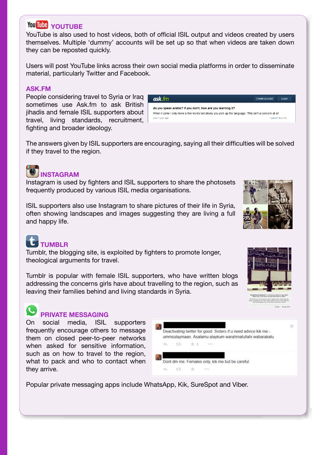#### **YOUTUBE**

YouTube is also used to host videos, both of official ISIL output and videos created by users themselves. Multiple 'dummy' accounts will be set up so that when videos are taken down they can be reposted quickly.

Users will post YouTube links across their own social media platforms in order to disseminate material, particularly Twitter and Facebook.

#### **ASK.FM**

People considering travel to Syria or Iraq sometimes use Ask.fm to ask British iihadis and female ISIL supporters about travel, living standards, recruitment, fighting and broader ideology.

| <b>ask</b> .fm                                              | Create account<br>Login                                                                              |
|-------------------------------------------------------------|------------------------------------------------------------------------------------------------------|
| do you speak Arabic? if you don't, how are you learning it? |                                                                                                      |
|                                                             | When I came I only knew a few words but slowly you pick up the language. This isn't a concern at all |
| over 1 year ago                                             | person likes this                                                                                    |

The answers given by ISIL supporters are encouraging, saying all their difficulties will be solved if they travel to the region.



Instagram is used by fighters and ISIL supporters to share the photosets frequently produced by various ISIL media organisations.

ISIL supporters also use Instagram to share pictures of their life in Syria, often showing landscapes and images suggesting they are living a full and happy life.



vizard: As sala

## **IMBLR**

Tumblr, the blogging site, is exploited by fighters to promote longer, theological arguments for travel.

Tumblr is popular with female ISIL supporters, who have written blogs addressing the concerns girls have about travelling to the region, such as leaving their families behind and living standards in Syria.



#### **PRIVATE MESSAGING**

On social media, ISIL supporters frequently encourage others to message them on closed peer-to-peer networks when asked for sensitive information, such as on how to travel to the region, what to pack and who to contact when they arrive.



Popular private messaging apps include WhatsApp, Kik, SureSpot and Viber.